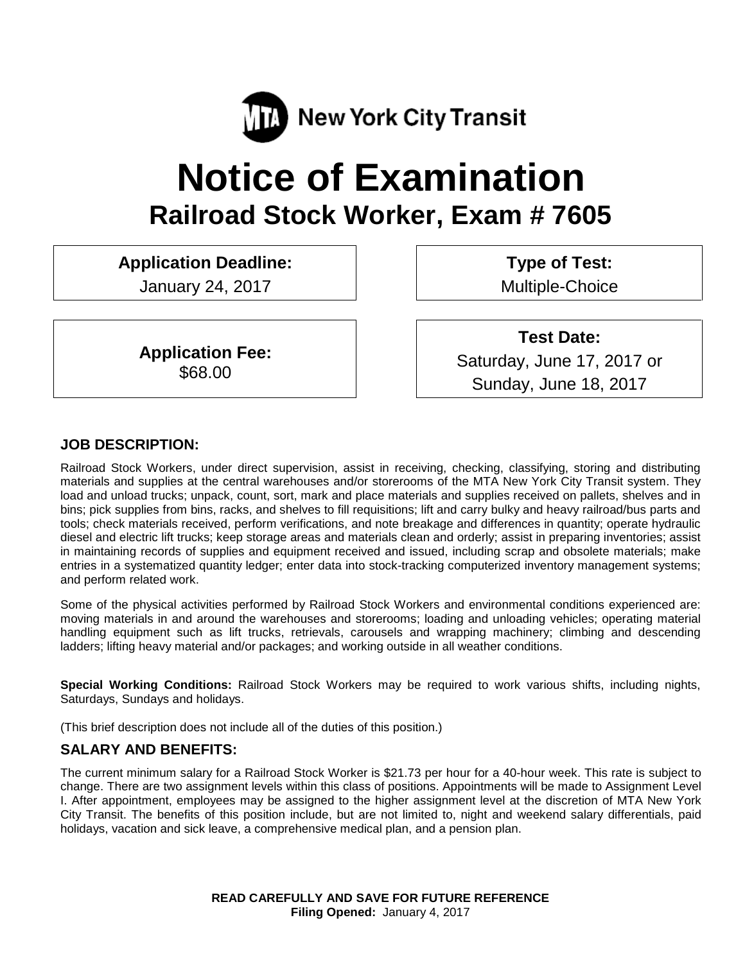

# **Notice of Examination Railroad Stock Worker, Exam # 7605**

**Application Deadline:**

January 24, 2017

**Application Fee:** \$68.00

**Type of Test:**  Multiple-Choice

**Test Date:** Saturday, June 17, 2017 or Sunday, June 18, 2017

## **JOB DESCRIPTION:**

Railroad Stock Workers, under direct supervision, assist in receiving, checking, classifying, storing and distributing materials and supplies at the central warehouses and/or storerooms of the MTA New York City Transit system. They load and unload trucks; unpack, count, sort, mark and place materials and supplies received on pallets, shelves and in bins; pick supplies from bins, racks, and shelves to fill requisitions; lift and carry bulky and heavy railroad/bus parts and tools; check materials received, perform verifications, and note breakage and differences in quantity; operate hydraulic diesel and electric lift trucks; keep storage areas and materials clean and orderly; assist in preparing inventories; assist in maintaining records of supplies and equipment received and issued, including scrap and obsolete materials; make entries in a systematized quantity ledger; enter data into stock-tracking computerized inventory management systems; and perform related work.

Some of the physical activities performed by Railroad Stock Workers and environmental conditions experienced are: moving materials in and around the warehouses and storerooms; loading and unloading vehicles; operating material handling equipment such as lift trucks, retrievals, carousels and wrapping machinery; climbing and descending ladders; lifting heavy material and/or packages; and working outside in all weather conditions.

**Special Working Conditions:** Railroad Stock Workers may be required to work various shifts, including nights, Saturdays, Sundays and holidays.

(This brief description does not include all of the duties of this position.)

## **SALARY AND BENEFITS:**

The current minimum salary for a Railroad Stock Worker is \$21.73 per hour for a 40-hour week. This rate is subject to change. There are two assignment levels within this class of positions. Appointments will be made to Assignment Level I. After appointment, employees may be assigned to the higher assignment level at the discretion of MTA New York City Transit. The benefits of this position include, but are not limited to, night and weekend salary differentials, paid holidays, vacation and sick leave, a comprehensive medical plan, and a pension plan.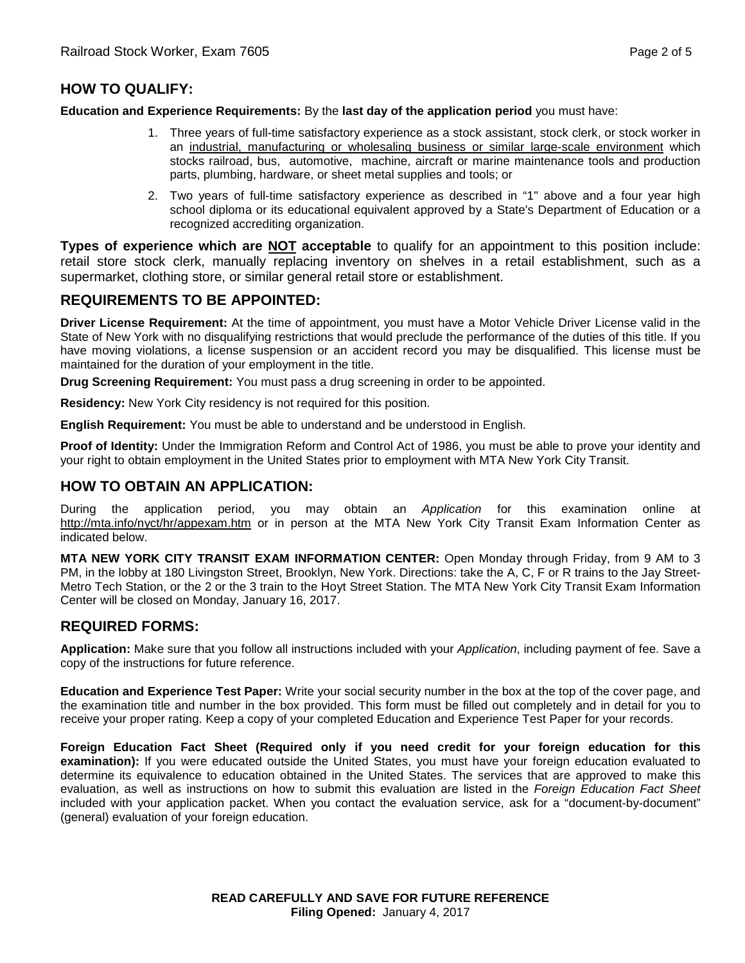## **HOW TO QUALIFY:**

**Education and Experience Requirements:** By the **last day of the application period** you must have:

- 1. Three years of full-time satisfactory experience as a stock assistant, stock clerk, or stock worker in an industrial, manufacturing or wholesaling business or similar large-scale environment which stocks railroad, bus, automotive, machine, aircraft or marine maintenance tools and production parts, plumbing, hardware, or sheet metal supplies and tools; or
- 2. Two years of full-time satisfactory experience as described in "1" above and a four year high school diploma or its educational equivalent approved by a State's Department of Education or a recognized accrediting organization.

**Types of experience which are NOT acceptable** to qualify for an appointment to this position include: retail store stock clerk, manually replacing inventory on shelves in a retail establishment, such as a supermarket, clothing store, or similar general retail store or establishment.

# **REQUIREMENTS TO BE APPOINTED:**

**Driver License Requirement:** At the time of appointment, you must have a Motor Vehicle Driver License valid in the State of New York with no disqualifying restrictions that would preclude the performance of the duties of this title. If you have moving violations, a license suspension or an accident record you may be disqualified. This license must be maintained for the duration of your employment in the title.

**Drug Screening Requirement:** You must pass a drug screening in order to be appointed.

**Residency:** New York City residency is not required for this position.

**English Requirement:** You must be able to understand and be understood in English.

**Proof of Identity:** Under the Immigration Reform and Control Act of 1986, you must be able to prove your identity and your right to obtain employment in the United States prior to employment with MTA New York City Transit.

## **HOW TO OBTAIN AN APPLICATION:**

During the application period, you may obtain an *Application* for this examination online at <http://mta.info/nyct/hr/appexam.htm> or in person at the MTA New York City Transit Exam Information Center as indicated below.

**MTA NEW YORK CITY TRANSIT EXAM INFORMATION CENTER:** Open Monday through Friday, from 9 AM to 3 PM, in the lobby at 180 Livingston Street, Brooklyn, New York. Directions: take the A, C, F or R trains to the Jay Street-Metro Tech Station, or the 2 or the 3 train to the Hoyt Street Station. The MTA New York City Transit Exam Information Center will be closed on Monday, January 16, 2017.

## **REQUIRED FORMS:**

**Application:** Make sure that you follow all instructions included with your *Application*, including payment of fee. Save a copy of the instructions for future reference.

**Education and Experience Test Paper:** Write your social security number in the box at the top of the cover page, and the examination title and number in the box provided. This form must be filled out completely and in detail for you to receive your proper rating. Keep a copy of your completed Education and Experience Test Paper for your records.

**Foreign Education Fact Sheet (Required only if you need credit for your foreign education for this examination):** If you were educated outside the United States, you must have your foreign education evaluated to determine its equivalence to education obtained in the United States. The services that are approved to make this evaluation, as well as instructions on how to submit this evaluation are listed in the *Foreign Education Fact Sheet* included with your application packet. When you contact the evaluation service, ask for a "document-by-document" (general) evaluation of your foreign education.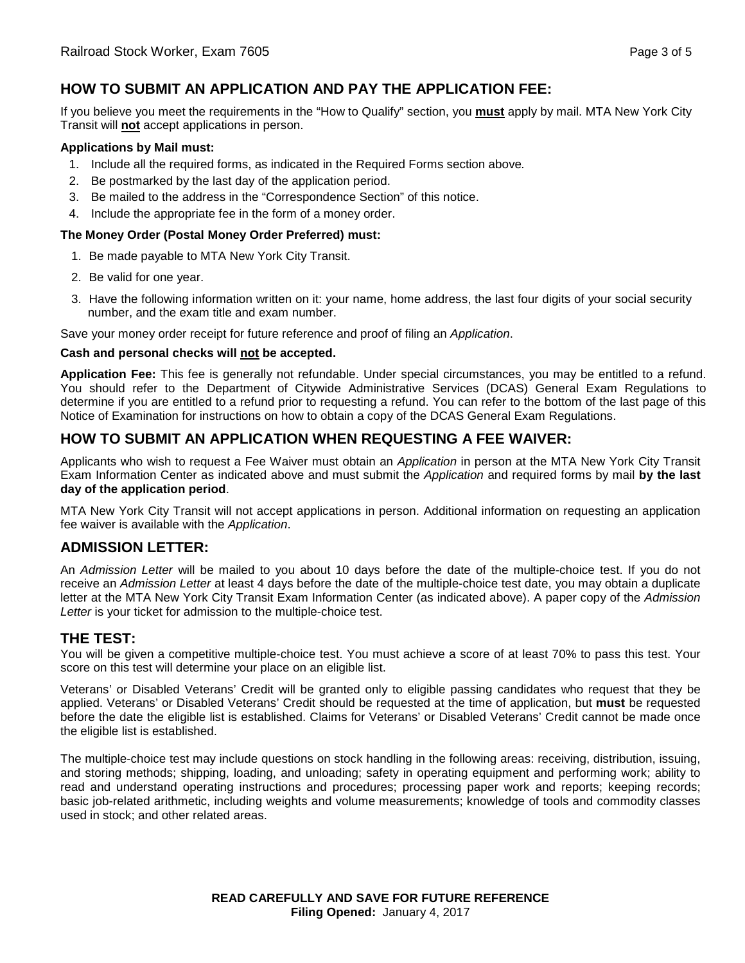# **HOW TO SUBMIT AN APPLICATION AND PAY THE APPLICATION FEE:**

If you believe you meet the requirements in the "How to Qualify" section, you **must** apply by mail. MTA New York City Transit will **not** accept applications in person.

#### **Applications by Mail must:**

- 1. Include all the required forms, as indicated in the Required Forms section above*.*
- 2. Be postmarked by the last day of the application period.
- 3. Be mailed to the address in the "Correspondence Section" of this notice.
- 4. Include the appropriate fee in the form of a money order.

#### **The Money Order (Postal Money Order Preferred) must:**

- 1. Be made payable to MTA New York City Transit.
- 2.Be valid for one year.
- 3.Have the following information written on it: your name, home address, the last four digits of your social security number, and the exam title and exam number.

Save your money order receipt for future reference and proof of filing an *Application*.

#### **Cash and personal checks will not be accepted.**

**Application Fee:** This fee is generally not refundable. Under special circumstances, you may be entitled to a refund. You should refer to the Department of Citywide Administrative Services (DCAS) General Exam Regulations to determine if you are entitled to a refund prior to requesting a refund. You can refer to the bottom of the last page of this Notice of Examination for instructions on how to obtain a copy of the DCAS General Exam Regulations.

## **HOW TO SUBMIT AN APPLICATION WHEN REQUESTING A FEE WAIVER:**

Applicants who wish to request a Fee Waiver must obtain an *Application* in person at the MTA New York City Transit Exam Information Center as indicated above and must submit the *Application* and required forms by mail **by the last day of the application period**.

MTA New York City Transit will not accept applications in person. Additional information on requesting an application fee waiver is available with the *Application*.

## **ADMISSION LETTER:**

An *Admission Letter* will be mailed to you about 10 days before the date of the multiple-choice test. If you do not receive an *Admission Letter* at least 4 days before the date of the multiple-choice test date, you may obtain a duplicate letter at the MTA New York City Transit Exam Information Center (as indicated above). A paper copy of the *Admission Letter* is your ticket for admission to the multiple-choice test.

#### **THE TEST:**

You will be given a competitive multiple-choice test. You must achieve a score of at least 70% to pass this test. Your score on this test will determine your place on an eligible list.

Veterans' or Disabled Veterans' Credit will be granted only to eligible passing candidates who request that they be applied. Veterans' or Disabled Veterans' Credit should be requested at the time of application, but **must** be requested before the date the eligible list is established. Claims for Veterans' or Disabled Veterans' Credit cannot be made once the eligible list is established.

The multiple-choice test may include questions on stock handling in the following areas: receiving, distribution, issuing, and storing methods; shipping, loading, and unloading; safety in operating equipment and performing work; ability to read and understand operating instructions and procedures; processing paper work and reports; keeping records; basic job-related arithmetic, including weights and volume measurements; knowledge of tools and commodity classes used in stock; and other related areas.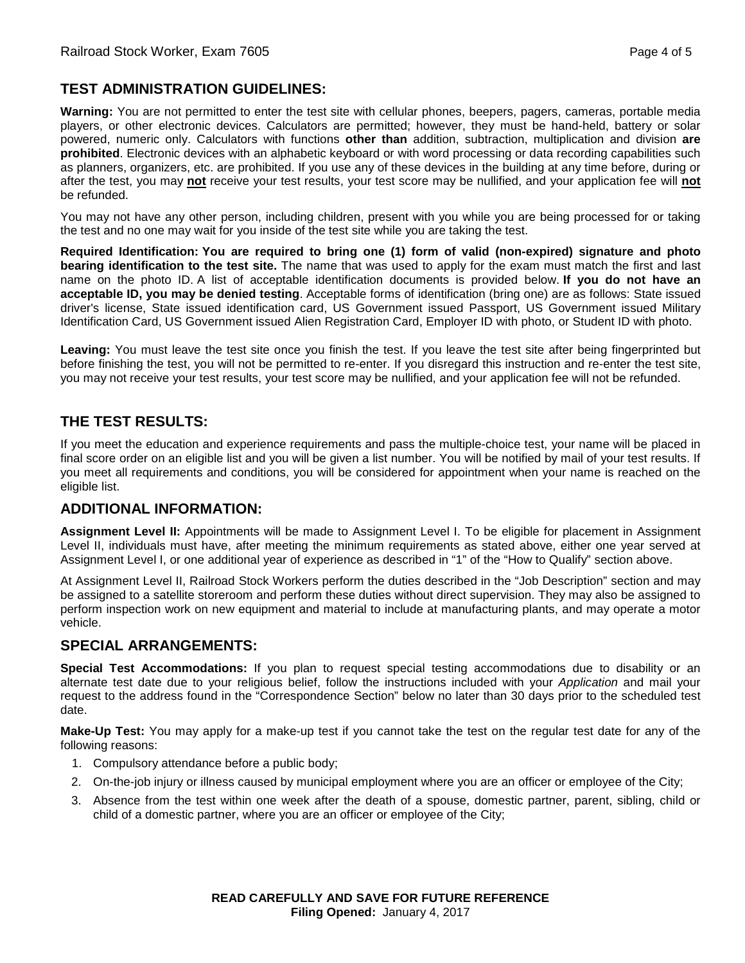## **TEST ADMINISTRATION GUIDELINES:**

**Warning:** You are not permitted to enter the test site with cellular phones, beepers, pagers, cameras, portable media players, or other electronic devices. Calculators are permitted; however, they must be hand-held, battery or solar powered, numeric only. Calculators with functions **other than** addition, subtraction, multiplication and division **are prohibited**. Electronic devices with an alphabetic keyboard or with word processing or data recording capabilities such as planners, organizers, etc. are prohibited. If you use any of these devices in the building at any time before, during or after the test, you may **not** receive your test results, your test score may be nullified, and your application fee will **not** be refunded.

You may not have any other person, including children, present with you while you are being processed for or taking the test and no one may wait for you inside of the test site while you are taking the test.

**Required Identification: You are required to bring one (1) form of valid (non-expired) signature and photo bearing identification to the test site.** The name that was used to apply for the exam must match the first and last name on the photo ID. A list of acceptable identification documents is provided below. **If you do not have an acceptable ID, you may be denied testing**. Acceptable forms of identification (bring one) are as follows: State issued driver's license, State issued identification card, US Government issued Passport, US Government issued Military Identification Card, US Government issued Alien Registration Card, Employer ID with photo, or Student ID with photo.

**Leaving:** You must leave the test site once you finish the test. If you leave the test site after being fingerprinted but before finishing the test, you will not be permitted to re-enter. If you disregard this instruction and re-enter the test site, you may not receive your test results, your test score may be nullified, and your application fee will not be refunded.

## **THE TEST RESULTS:**

If you meet the education and experience requirements and pass the multiple-choice test, your name will be placed in final score order on an eligible list and you will be given a list number. You will be notified by mail of your test results. If you meet all requirements and conditions, you will be considered for appointment when your name is reached on the eligible list.

## **ADDITIONAL INFORMATION:**

**Assignment Level II:** Appointments will be made to Assignment Level I. To be eligible for placement in Assignment Level II, individuals must have, after meeting the minimum requirements as stated above, either one year served at Assignment Level I, or one additional year of experience as described in "1" of the "How to Qualify" section above.

At Assignment Level II, Railroad Stock Workers perform the duties described in the "Job Description" section and may be assigned to a satellite storeroom and perform these duties without direct supervision. They may also be assigned to perform inspection work on new equipment and material to include at manufacturing plants, and may operate a motor vehicle.

#### **SPECIAL ARRANGEMENTS:**

**Special Test Accommodations:** If you plan to request special testing accommodations due to disability or an alternate test date due to your religious belief, follow the instructions included with your *Application* and mail your request to the address found in the "Correspondence Section" below no later than 30 days prior to the scheduled test date.

**Make-Up Test:** You may apply for a make-up test if you cannot take the test on the regular test date for any of the following reasons:

- 1. Compulsory attendance before a public body;
- 2. On-the-job injury or illness caused by municipal employment where you are an officer or employee of the City;
- 3. Absence from the test within one week after the death of a spouse, domestic partner, parent, sibling, child or child of a domestic partner, where you are an officer or employee of the City;